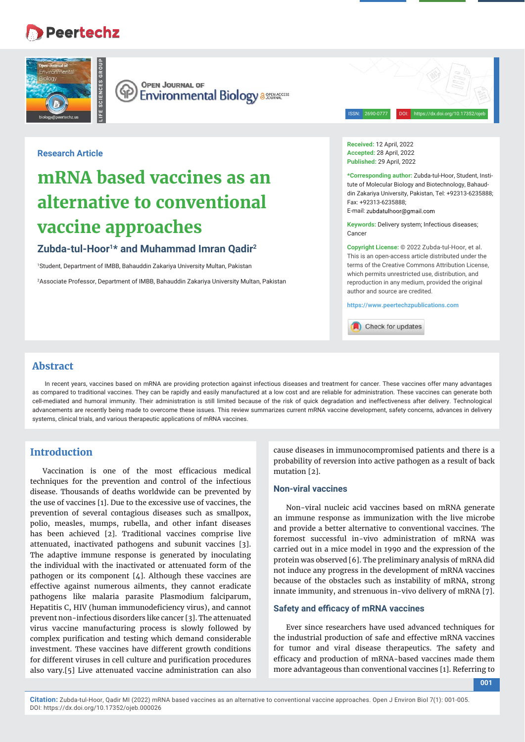## **Peertechz**



**OPEN JOURNAL OF** (ආ **Environmental Biology a 358446CESS** 

ISSN: 2690-0777 DOI: https://dx.doi.org/10.17352/ojeb

## **Research Article**

# **mRNA based vaccines as an alternative to conventional vaccine approaches**

## **Zubda-tul-Hoor1\* and Muhammad Imran Qadir2**

1 Student, Department of IMBB, Bahauddin Zakariya University Multan, Pakistan

2 Associate Professor, Department of IMBB, Bahauddin Zakariya University Multan, Pakistan

**Received:** 12 April, 2022 **Accepted:** 28 April, 2022 Published: 29 April, 2022

**\*Corresponding author:** Zubda-tul-Hoor, Student, Institute of Molecular Biology and Biotechnology, Bahauddin Zakariya University, Pakistan, Tel: +92313-6235888; Fax: +92313-6235888;

E-mail: zubdatulboor@gmail.com

**Keywords:** Delivery system; Infectious diseases; Cancer

**Copyright License:** © 2022 Zubda-tul-Hoor, et al. This is an open-access article distributed under the terms of the Creative Commons Attribution License, which permits unrestricted use, distribution, and reproduction in any medium, provided the original author and source are credited.

**https://www.peertechzpublications.com**

Check for updates

## **Abstract**

In recent years, vaccines based on mRNA are providing protection against infectious diseases and treatment for cancer. These vaccines offer many advantages as compared to traditional vaccines. They can be rapidly and easily manufactured at a low cost and are reliable for administration. These vaccines can generate both cell-mediated and humoral immunity. Their administration is still limited because of the risk of quick degradation and ineffectiveness after delivery. Technological advancements are recently being made to overcome these issues. This review summarizes current mRNA vaccine development, safety concerns, advances in delivery systems, clinical trials, and various therapeutic applications of mRNA vaccines.

## **Introduction**

Vaccination is one of the most efficacious medical techniques for the prevention and control of the infectious disease. Thousands of deaths worldwide can be prevented by the use of vaccines [1]. Due to the excessive use of vaccines, the prevention of several contagious diseases such as smallpox, polio, measles, mumps, rubella, and other infant diseases has been achieved [2]. Traditional vaccines comprise live attenuated, inactivated pathogens and subunit vaccines [3]. The adaptive immune response is generated by inoculating the individual with the inactivated or attenuated form of the pathogen or its component [4]. Although these vaccines are effective against numerous ailments, they cannot eradicate pathogens like malaria parasite Plasmodium falciparum, Hepatitis C, HIV (human immunodeficiency virus), and cannot prevent non-infectious disorders like cancer [3]. The attenuated virus vaccine manufacturing process is slowly followed by complex purification and testing which demand considerable investment. These vaccines have different growth conditions for different viruses in cell culture and purification procedures also vary.[5] Live attenuated vaccine administration can also

cause diseases in immunocompromised patients and there is a probability of reversion into active pathogen as a result of back mutation [2].

#### **Non-viral vaccines**

Non-viral nucleic acid vaccines based on mRNA generate an immune response as immunization with the live microbe and provide a better alternative to conventional vaccines. The foremost successful in-vivo administration of mRNA was carried out in a mice model in 1990 and the expression of the protein was observed [6]. The preliminary analysis of mRNA did not induce any progress in the development of mRNA vaccines because of the obstacles such as instability of mRNA, strong innate immunity, and strenuous in-vivo delivery of mRNA [7].

#### **Safety and efficacy of mRNA vaccines**

Ever since researchers have used advanced techniques for the industrial production of safe and effective mRNA vaccines for tumor and viral disease therapeutics. The safety and efficacy and production of mRNA-based vaccines made them more advantageous than conventional vaccines [1]. Referring to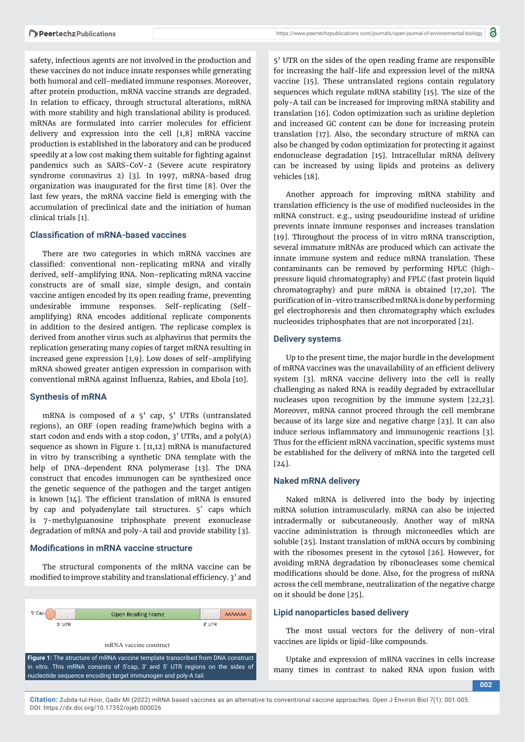safety, infectious agents are not involved in the production and these vaccines do not induce innate responses while generating both humoral and cell-mediated immune responses. Moreover, after protein production, mRNA vaccine strands are degraded. In relation to efficacy, through structural alterations, mRNA with more stability and high translational ability is produced. mRNAs are formulated into carrier molecules for efficient delivery and expression into the cell [1,8] mRNA vaccine production is established in the laboratory and can be produced speedily at a low cost making them suitable for fighting against pandemics such as SARS-CoV-2 (Severe acute respiratory syndrome coronavirus 2) [3]. In 1997, mRNA-based drug organization was inaugurated for the first time [8]. Over the last few years, the mRNA vaccine field is emerging with the accumulation of preclinical date and the initiation of human clinical trials [1].

#### **Classifi cation of mRNA-based vaccines**

There are two categories in which mRNA vaccines are classified: conventional non-replicating mRNA and virally derived, self-amplifying RNA. Non-replicating mRNA vaccine constructs are of small size, simple design, and contain vaccine antigen encoded by its open reading frame, preventing undesirable immune responses. Self-replicating (Selfamplifying) RNA encodes additional replicate components in addition to the desired antigen. The replicase complex is derived from another virus such as alphavirus that permits the replication generating many copies of target mRNA resulting in increased gene expression [1,9]. Low doses of self-amplifying mRNA showed greater antigen expression in comparison with conventional mRNA against Influenza, Rabies, and Ebola [10].

#### **Synthesis of mRNA**

mRNA is composed of a 5' cap, 5' UTRs (untranslated regions), an ORF (open reading frame)which begins with a start codon and ends with a stop codon, 3' UTRs, and a poly(A) sequence as shown in Figure 1. [11,12] mRNA is manufactured in vitro by transcribing a synthetic DNA template with the help of DNA-dependent RNA polymerase [13]. The DNA construct that encodes immunogen can be synthesized once the genetic sequence of the pathogen and the target antigen is known  $[14]$ . The efficient translation of mRNA is ensured by cap and polyadenylate tail structures. 5′ caps which is 7-methylguanosine triphosphate prevent exonuclease degradation of mRNA and poly-A tail and provide stability [3].

#### **Mod ifi cations in mRNA vaccine structure**

The structural components of the mRNA vaccine can be modified to improve stability and translational efficiency. 3' and



5' UTR on the sides of the open reading frame are responsible for increasing the half-life and expression level of the mRNA vaccine [15]. These untranslated regions contain regulatory sequences which regulate mRNA stability [15]. The size of the poly-A tail can be increased for improving mRNA stability and translation [16]. Codon optimization such as uridine depletion and increased GC content can be done for increasing protein translation [17]. Also, the secondary structure of mRNA can also be changed by codon optimization for protecting it against endonuclease degradation [15]. Intracellular mRNA delivery can be increased by using lipids and proteins as delivery vehicles [18].

Another approach for improving mRNA stability and translation efficiency is the use of modified nucleosides in the mRNA construct. e.g., using pseudouridine instead of uridine prevents innate immune responses and increases translation [19]. Throughout the process of in vitro mRNA transcription, several immature mRNAs are produced which can activate the innate immune system and reduce mRNA translation. These contaminants can be removed by performing HPLC (highpressure liquid chromatography) and FPLC (fast protein liquid chromatography) and pure mRNA is obtained [17,20]. The purification of in-vitro transcribed mRNA is done by performing gel electrophoresis and then chromatography which excludes nucleosides triphosphates that are not incorporated [21].

#### **Delivery systems**

Up to the present time, the major hurdle in the development of mRNA vaccines was the unavailability of an efficient delivery system [3]. mRNA vaccine delivery into the cell is really challenging as naked RNA is readily degraded by extracellular nucleases upon recognition by the immune system [22,23]. Moreover, mRNA cannot proceed through the cell membrane because of its large size and negative charge [23]. It can also induce serious inflammatory and immunogenic reactions [3]. Thus for the efficient mRNA vaccination, specific systems must be established for the delivery of mRNA into the targeted cell  $[24]$ .

#### **Naked mRNA delivery**

Naked mRNA is delivered into the body by injecting mRNA solution intramuscularly. mRNA can also be injected intradermally or subcutaneously. Another way of mRNA vaccine administration is through microneedles which are soluble [25]. Instant translation of mRNA occurs by combining with the ribosomes present in the cytosol [26]. However, for avoiding mRNA degradation by ribonucleases some chemical modifications should be done. Also, for the progress of mRNA across the cell membrane, neutralization of the negative charge on it should be done [25].

#### **Lipid nanoparticles based delivery**

The most usual vectors for the delivery of non-viral vaccines are lipids or lipid-like compounds.

Uptake and expression of mRNA vaccines in cells increase many times in contrast to naked RNA upon fusion with

**002**

**Citation:** Zubda-tul-Hoor, Qadir MI (2022) mRNA based vaccines as an alternative to conventional vaccine approaches. Open J Environ Biol 7(1): 001-005. DOI: https://dx.doi.org/10.17352/ojeb.000026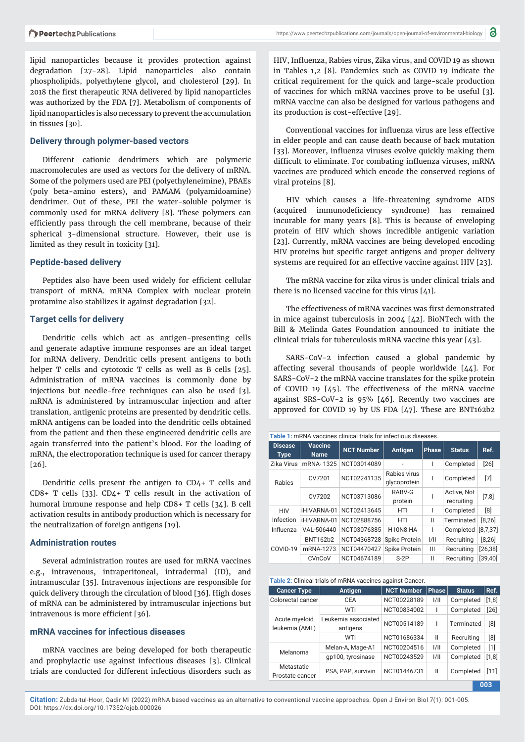lipid nanoparticles because it provides protection against degradation [27-28]. Lipid nanoparticles also contain phospholipids, polyethylene glycol, and cholesterol [29]. In 2018 the first therapeutic RNA delivered by lipid nanoparticles was authorized by the FDA [7]. Metabolism of components of lipid nanoparticles is also necessary to prevent the accumulation in tissues [30].

#### **Delivery through polymer-based vectors**

Different cationic dendrimers which are polymeric macromolecules are used as vectors for the delivery of mRNA. Some of the polymers used are PEI (polyethyleneimine), PBAEs (poly beta-amino esters), and PAMAM (polyamidoamine) dendrimer. Out of these, PEI the water-soluble polymer is commonly used for mRNA delivery [8]. These polymers can efficiently pass through the cell membrane, because of their spherical 3-dimensional structure. However, their use is limited as they result in toxicity [31].

#### **Peptide-based delivery**

Peptides also have been used widely for efficient cellular transport of mRNA. mRNA Complex with nuclear protein protamine also stabilizes it against degradation [32].

#### **Target cells for delivery**

Dendritic cells which act as antigen-presenting cells and generate adaptive immune responses are an ideal target for mRNA delivery. Dendritic cells present antigens to both helper T cells and cytotoxic T cells as well as B cells [25]. Administration of mRNA vaccines is commonly done by injections but needle-free techniques can also be used [3]. mRNA is administered by intramuscular injection and after translation, antigenic proteins are presented by dendritic cells. mRNA antigens can be loaded into the dendritic cells obtained from the patient and then these engineered dendritic cells are again transferred into the patient's blood. For the loading of mRNA, the electroporation technique is used for cancer therapy [26].

Dendritic cells present the antigen to CD4+ T cells and CD8+ T cells [33]. CD4+ T cells result in the activation of humoral immune response and help CD8+ T cells [34]. B cell activation results in antibody production which is necessary for the neutralization of foreign antigens [19].

#### **Administration routes**

Several administration routes are used for mRNA vaccines e.g., intravenous, intraperitoneal, intradermal (ID), and intramuscular [35]. Intravenous injections are responsible for quick delivery through the circulation of blood [36]. High doses of mRNA can be administered by intramuscular injections but intravenous is more efficient [36].

## **mRNA vaccines for infectious diseases**

mRNA vaccines are being developed for both therapeutic and prophylactic use against infectious diseases [3]. Clinical trials are conducted for different infectious disorders such as

HIV, Influenza, Rabies virus, Zika virus, and COVID 19 as shown in Tables 1,2 [8]. Pandemics such as COVID 19 indicate the critical requirement for the quick and large-scale production of vaccines for which mRNA vaccines prove to be useful [3]. mRNA vaccine can also be designed for various pathogens and its production is cost-effective [29].

Conventional vaccines for influenza virus are less effective in elder people and can cause death because of back mutation [33]. Moreover, influenza viruses evolve quickly making them difficult to eliminate. For combating influenza viruses, mRNA vaccines are produced which encode the conserved regions of viral proteins [8].

HIV which causes a life-threatening syndrome AIDS (acquired immunodeficiency syndrome) has remained incurable for many years [8]. This is because of enveloping protein of HIV which shows incredible antigenic variation [23]. Currently, mRNA vaccines are being developed encoding HIV proteins but specific target antigens and proper delivery systems are required for an effective vaccine against HIV [23].

The mRNA vaccine for zika virus is under clinical trials and there is no licensed vaccine for this virus [41].

The effectiveness of mRNA vaccines was first demonstrated in mice against tuberculosis in 2004 [42]. BioNTech with the Bill & Melinda Gates Foundation announced to initiate the clinical trials for tuberculosis mRNA vaccine this year [43].

SARS-CoV-2 infection caused a global pandemic by affecting several thousands of people worldwide [44]. For SARS-CoV-2 the mRNA vaccine translates for the spike protein of COVID 19 [45]. The effectiveness of the mRNA vaccine against SRS-CoV-2 is 95% [46]. Recently two vaccines are approved for COVID 19 by US FDA [47]. These are BNT162b2

| Table 1: mRNA vaccines clinical trials for infectious diseases. |                        |                   |                              |              |                           |          |  |  |  |  |
|-----------------------------------------------------------------|------------------------|-------------------|------------------------------|--------------|---------------------------|----------|--|--|--|--|
| <b>Disease</b><br><b>Type</b>                                   | Vaccine<br><b>Name</b> | <b>NCT Number</b> | <b>Antigen</b>               | <b>Phase</b> | <b>Status</b>             | Ref.     |  |  |  |  |
| Zika Virus                                                      | mRNA-1325              | NCT03014089       |                              |              | Completed                 | [26]     |  |  |  |  |
| Rabies                                                          | CV7201                 | NCT02241135       | Rabies virus<br>glycoprotein |              | Completed                 | [7]      |  |  |  |  |
|                                                                 | CV7202                 | NCT03713086       | RABV-G<br>protein            |              | Active, Not<br>recruiting | [7,8]    |  |  |  |  |
| <b>HIV</b><br>Infection                                         | iHIVARNA-01            | NCT02413645       | HTI                          |              | Completed                 | [8]      |  |  |  |  |
|                                                                 | iHIVARNA-01            | NCT02888756       | HTI                          | Ш            | Terminated                | $[8,26]$ |  |  |  |  |
| Influenza                                                       | VAL-506440             | NCT03076385       | H10N8 HA                     | ı            | Completed                 | [8,7,37] |  |  |  |  |
| COVID-19                                                        | BNT162b2               | NCT04368728       | Spike Protein                | 1/11         | Recruiting                | $[8,26]$ |  |  |  |  |
|                                                                 | mRNA-1273              | NCT04470427       | Spike Protein                | Ш            | Recruiting                | [26, 38] |  |  |  |  |
|                                                                 | CVnCoV                 | NCT04674189       | $S-2P$                       | Ш            | Recruiting                | [39, 40] |  |  |  |  |

**Table 2:** Clinical trials of mRNA vaccines against Cancer.

| <b>Cancer Type</b>              | <b>Antigen</b>                  | <b>NCT Number</b> | Phase | <b>Status</b> | Ref.   |  |
|---------------------------------|---------------------------------|-------------------|-------|---------------|--------|--|
| Colorectal cancer               | CEA                             | NCT00228189       | 1/11  | Completed     | [1, 8] |  |
| Acute myeloid<br>leukemia (AML) | WTI                             | NCT00834002       | I     | Completed     | $[26]$ |  |
|                                 | Leukemia associated<br>antigens | NCT00514189       | ı     | Terminated    | [8]    |  |
|                                 | WTI                             | NCT01686334       | Ш     | Recruiting    | [8]    |  |
| Melanoma                        | Melan-A, Mage-A1                | NCT00204516       | 1/11  | Completed     | [1]    |  |
|                                 | qp100, tyrosinase               | NCT00243529       | 1/11  | Completed     | [1, 8] |  |
| Metastatic<br>Prostate cancer   | PSA, PAP, survivin              | NCT01446731       | Ш     | Completed     | $[11]$ |  |
|                                 |                                 |                   |       |               |        |  |

**Citation:** Zubda-tul-Hoor, Qadir MI (2022) mRNA based vaccines as an alternative to conventional vaccine approaches. Open J Environ Biol 7(1): 001-005. DOI: https://dx.doi.org/10.17352/ojeb.000026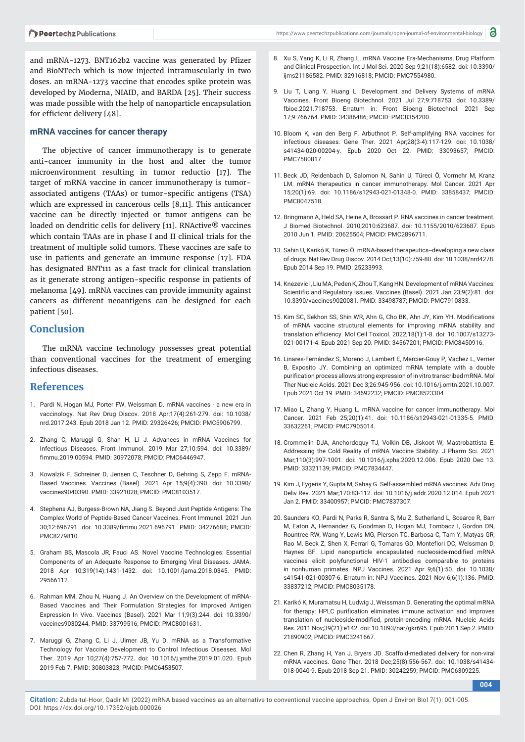and mRNA-1273. BNT162b2 vaccine was generated by Pfizer and BioNTech which is now injected intramuscularly in two doses. an mRNA-1273 vaccine that encodes spike protein was developed by Moderna, NIAID, and BARDA [25]. Their success was made possible with the help of nanoparticle encapsulation for efficient delivery  $[48]$ .

#### **mRNA vaccines for cancer therapy**

The objective of cancer immunotherapy is to generate anti-cancer immunity in the host and alter the tumor microenvironment resulting in tumor reductio [17]. The target of mRNA vaccine in cancer immunotherapy is tumorassociated antigens (TAAs) or tumor-specific antigens (TSA) which are expressed in cancerous cells [8,11]. This anticancer vaccine can be directly injected or tumor antigens can be loaded on dendritic cells for delivery [11]. RNActive® vaccines which contain TAAs are in phase I and II clinical trials for the treatment of multiple solid tumors. These vaccines are safe to use in patients and generate an immune response [17]. FDA has designated BNT111 as a fast track for clinical translation as it generate strong antigen-specific response in patients of melanoma [49]. mRNA vaccines can provide immunity against cancers as different neoantigens can be designed for each patient [50].

## **Conclusion**

The mRNA vaccine technology possesses great potential than conventional vaccines for the treatment of emerging infectious diseases.

## **References**

- 1. Pardi N, Hogan MJ, Porter FW, Weissman D. mRNA vaccines a new era in vaccinology. Nat Rev Drug Discov. 2018 Apr;17(4):261-279. doi: 10.1038/ nrd.2017.243. Epub 2018 Jan 12. PMID: 29326426; PMCID: PMC5906799.
- 2. Zhang C, Maruggi G, Shan H, Li J. Advances in mRNA Vaccines for Infectious Diseases. Front Immunol. 2019 Mar 27;10:594. doi: 10.3389/ fimmu.2019.00594. PMID: 30972078; PMCID: PMC6446947.
- 3. Kowalzik F, Schreiner D, Jensen C, Teschner D, Gehring S, Zepp F. mRNA-Based Vaccines. Vaccines (Basel). 2021 Apr 15;9(4):390. doi: 10.3390/ vaccines9040390. PMID: 33921028; PMCID: PMC8103517.
- 4. Stephens AJ, Burgess-Brown NA, Jiang S. Beyond Just Peptide Antigens: The Complex World of Peptide-Based Cancer Vaccines. Front Immunol. 2021 Jun 30;12:696791. doi: 10.3389/fimmu.2021.696791. PMID: 34276688; PMCID: PMC8279810.
- 5. Graham BS, Mascola JR, Fauci AS. Novel Vaccine Technologies: Essential Components of an Adequate Response to Emerging Viral Diseases. JAMA. 2018 Apr 10;319(14):1431-1432. doi: 10.1001/jama.2018.0345. PMID: 29566112.
- 6. Rahman MM, Zhou N, Huang J. An Overview on the Development of mRNA-Based Vaccines and Their Formulation Strategies for Improved Antigen Expression In Vivo. Vaccines (Basel). 2021 Mar 11;9(3):244. doi: 10.3390/ vaccines9030244. PMID: 33799516; PMCID: PMC8001631.
- 7. Maruggi G, Zhang C, Li J, Ulmer JB, Yu D. mRNA as a Transformative Technology for Vaccine Development to Control Infectious Diseases. Mol Ther. 2019 Apr 10;27(4):757-772. doi: 10.1016/j.ymthe.2019.01.020. Epub 2019 Feb 7. PMID: 30803823; PMCID: PMC6453507.
- 8. Xu S, Yang K, Li R, Zhang L. mRNA Vaccine Era-Mechanisms, Drug Platform and Clinical Prospection. Int J Mol Sci. 2020 Sep 9;21(18):6582. doi: 10.3390/ ijms21186582. PMID: 32916818; PMCID: PMC7554980.
- 9. Liu T, Liang Y, Huang L. Development and Delivery Systems of mRNA Vaccines. Front Bioeng Biotechnol. 2021 Jul 27;9:718753. doi: 10.3389/ fbioe.2021.718753. Erratum in: Front Bioeng Biotechnol. 2021 Sep 17;9:766764. PMID: 34386486; PMCID: PMC8354200.
- 10. Bloom K, van den Berg F, Arbuthnot P. Self-amplifying RNA vaccines for infectious diseases. Gene Ther. 2021 Apr;28(3-4):117-129. doi: 10.1038/ s41434-020-00204-y. Epub 2020 Oct 22. PMID: 33093657; PMCID: PMC7580817.
- 11. Beck JD, Reidenbach D, Salomon N, Sahin U, Türeci Ö, Vormehr M, Kranz LM. mRNA therapeutics in cancer immunotherapy. Mol Cancer. 2021 Apr 15;20(1):69. doi: 10.1186/s12943-021-01348-0. PMID: 33858437; PMCID: PMC8047518.
- 12. Bringmann A, Held SA, Heine A, Brossart P. RNA vaccines in cancer treatment. J Biomed Biotechnol. 2010;2010:623687. doi: 10.1155/2010/623687. Epub 2010 Jun 1. PMID: 20625504; PMCID: PMC2896711.
- 13. Sahin U, Karikó K, Türeci Ö. mRNA-based therapeutics--developing a new class of drugs. Nat Rev Drug Discov. 2014 Oct;13(10):759-80. doi: 10.1038/nrd4278. Epub 2014 Sep 19. PMID: 25233993.
- 14. Knezevic I, Liu MA, Peden K, Zhou T, Kang HN. Development of mRNA Vaccines: Scientific and Regulatory Issues. Vaccines (Basel). 2021 Jan 23;9(2):81. doi: 10.3390/vaccines9020081. PMID: 33498787; PMCID: PMC7910833.
- 15. Kim SC, Sekhon SS, Shin WR, Ahn G, Cho BK, Ahn JY, Kim YH. Modifications of mRNA vaccine structural elements for improving mRNA stability and translation efficiency. Mol Cell Toxicol. 2022;18(1):1-8. doi: 10.1007/s13273- 021-00171-4. Epub 2021 Sep 20. PMID: 34567201; PMCID: PMC8450916.
- 16. Linares-Fernández S, Moreno J, Lambert E, Mercier-Gouy P, Vachez L, Verrier B, Exposito JY. Combining an optimized mRNA template with a double purification process allows strong expression of in vitro transcribed mRNA. Mol Ther Nucleic Acids. 2021 Dec 3;26:945-956. doi: 10.1016/j.omtn.2021.10.007. Epub 2021 Oct 19. PMID: 34692232; PMCID: PMC8523304.
- 17. Miao L, Zhang Y, Huang L. mRNA vaccine for cancer immunotherapy. Mol Cancer. 2021 Feb 25;20(1):41. doi: 10.1186/s12943-021-01335-5. PMID: 33632261; PMCID: PMC7905014.
- 18. Crommelin DJA, Anchordoquy TJ, Volkin DB, Jiskoot W, Mastrobattista E. Addressing the Cold Reality of mRNA Vaccine Stability. J Pharm Sci. 2021 Mar;110(3):997-1001. doi: 10.1016/j.xphs.2020.12.006. Epub 2020 Dec 13. PMID: 33321139; PMCID: PMC7834447.
- 19. Kim J, Eygeris Y, Gupta M, Sahay G. Self-assembled mRNA vaccines. Adv Drug Deliv Rev. 2021 Mar;170:83-112. doi: 10.1016/j.addr.2020.12.014. Epub 2021 Jan 2. PMID: 33400957; PMCID: PMC7837307.
- 20. Saunders KO, Pardi N, Parks R, Santra S, Mu Z, Sutherland L, Scearce R, Barr M, Eaton A, Hernandez G, Goodman D, Hogan MJ, Tombacz I, Gordon DN, Rountree RW, Wang Y, Lewis MG, Pierson TC, Barbosa C, Tam Y, Matyas GR, Rao M, Beck Z, Shen X, Ferrari G, Tomaras GD, Montefiori DC, Weissman D, Haynes BF. Lipid nanoparticle encapsulated nucleoside-modified mRNA vaccines elicit polyfunctional HIV-1 antibodies comparable to proteins in nonhuman primates. NPJ Vaccines. 2021 Apr 9;6(1):50. doi: 10.1038/ s41541-021-00307-6. Erratum in: NPJ Vaccines. 2021 Nov 6;6(1):136. PMID: 33837212; PMCID: PMC8035178.
- 21. Karikó K, Muramatsu H, Ludwig J, Weissman D. Generating the optimal mRNA for therapy: HPLC purification eliminates immune activation and improves translation of nucleoside-modified, protein-encoding mRNA. Nucleic Acids Res. 2011 Nov;39(21):e142. doi: 10.1093/nar/gkr695. Epub 2011 Sep 2. PMID: 21890902; PMCID: PMC3241667.
- 22. Chen R, Zhang H, Yan J, Bryers JD. Scaffold-mediated delivery for non-viral mRNA vaccines. Gene Ther. 2018 Dec;25(8):556-567. doi: 10.1038/s41434- 018-0040-9. Epub 2018 Sep 21. PMID: 30242259; PMCID: PMC6309225.

**004**